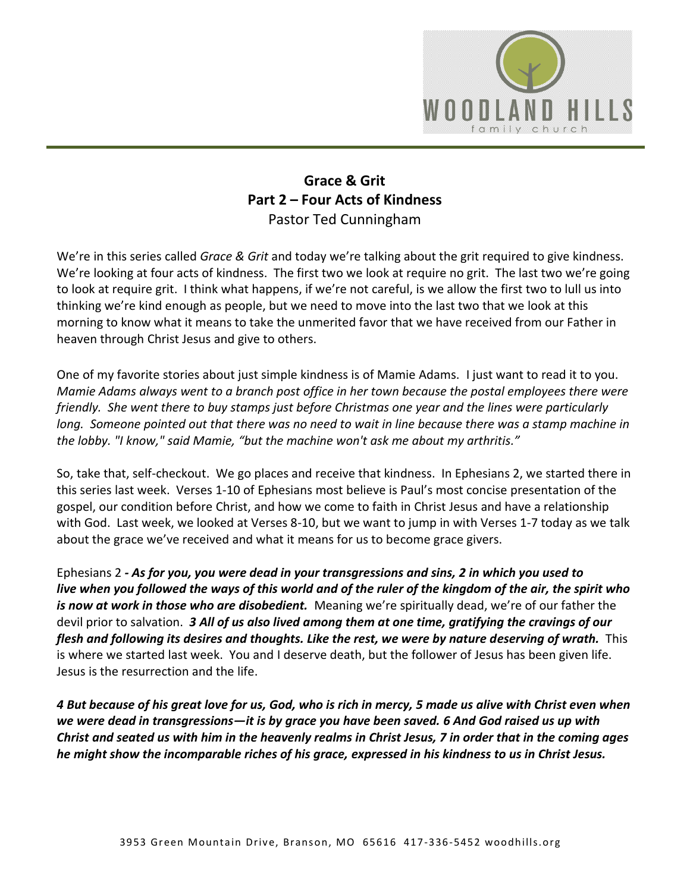

## **Grace & Grit Part 2 – Four Acts of Kindness** Pastor Ted Cunningham

We're in this series called *Grace & Grit* and today we're talking about the grit required to give kindness. We're looking at four acts of kindness. The first two we look at require no grit. The last two we're going to look at require grit. I think what happens, if we're not careful, is we allow the first two to lull us into thinking we're kind enough as people, but we need to move into the last two that we look at this morning to know what it means to take the unmerited favor that we have received from our Father in heaven through Christ Jesus and give to others.

One of my favorite stories about just simple kindness is of Mamie Adams. I just want to read it to you. *Mamie Adams always went to a branch post office in her town because the postal employees there were friendly. She went there to buy stamps just before Christmas one year and the lines were particularly long. Someone pointed out that there was no need to wait in line because there was a stamp machine in the lobby. "I know," said Mamie, "but the machine won't ask me about my arthritis."* 

So, take that, self-checkout. We go places and receive that kindness. In Ephesians 2, we started there in this series last week. Verses 1-10 of Ephesians most believe is Paul's most concise presentation of the gospel, our condition before Christ, and how we come to faith in Christ Jesus and have a relationship with God. Last week, we looked at Verses 8-10, but we want to jump in with Verses 1-7 today as we talk about the grace we've received and what it means for us to become grace givers.

Ephesians 2 *- As for you, you were dead in your transgressions and sins, 2 in which you used to live when you followed the ways of this world and of the ruler of the kingdom of the air, the spirit who is now at work in those who are disobedient.* Meaning we're spiritually dead, we're of our father the devil prior to salvation. *3 All of us also lived among them at one time, gratifying the cravings of our flesh and following its desires and thoughts. Like the rest, we were by nature deserving of wrath.* This is where we started last week. You and I deserve death, but the follower of Jesus has been given life. Jesus is the resurrection and the life.

*4 But because of his great love for us, God, who is rich in mercy, 5 made us alive with Christ even when we were dead in transgressions—it is by grace you have been saved. 6 And God raised us up with Christ and seated us with him in the heavenly realms in Christ Jesus, 7 in order that in the coming ages he might show the incomparable riches of his grace, expressed in his kindness to us in Christ Jesus.*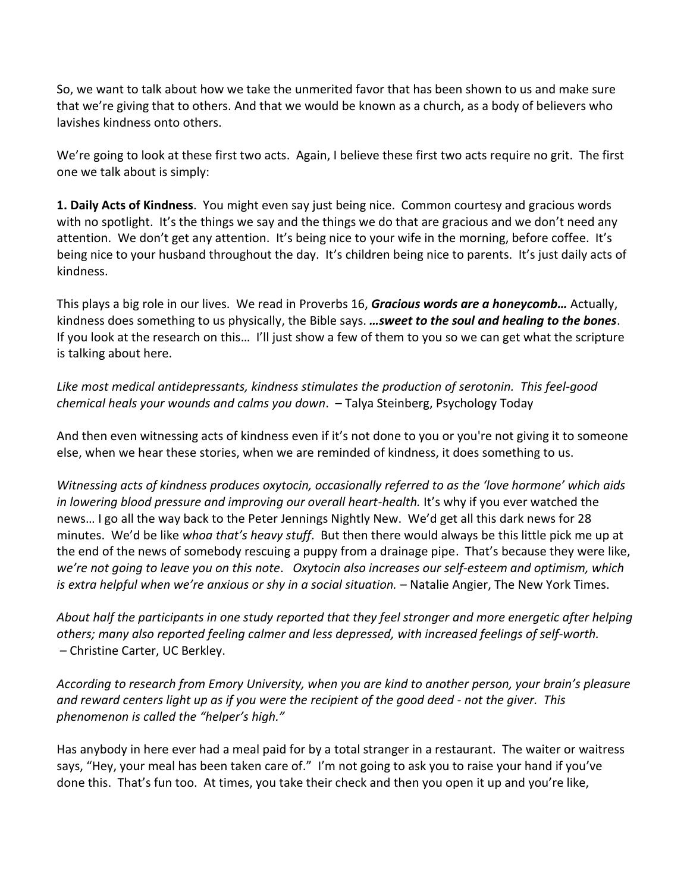So, we want to talk about how we take the unmerited favor that has been shown to us and make sure that we're giving that to others. And that we would be known as a church, as a body of believers who lavishes kindness onto others.

We're going to look at these first two acts. Again, I believe these first two acts require no grit. The first one we talk about is simply:

**1. Daily Acts of Kindness**. You might even say just being nice. Common courtesy and gracious words with no spotlight. It's the things we say and the things we do that are gracious and we don't need any attention. We don't get any attention. It's being nice to your wife in the morning, before coffee. It's being nice to your husband throughout the day. It's children being nice to parents. It's just daily acts of kindness.

This plays a big role in our lives. We read in Proverbs 16, *Gracious words are a honeycomb…* Actually, kindness does something to us physically, the Bible says. *…sweet to the soul and healing to the bones*. If you look at the research on this… I'll just show a few of them to you so we can get what the scripture is talking about here.

*Like most medical antidepressants, kindness stimulates the production of serotonin. This feel-good chemical heals your wounds and calms you down*. – Talya Steinberg, Psychology Today

And then even witnessing acts of kindness even if it's not done to you or you're not giving it to someone else, when we hear these stories, when we are reminded of kindness, it does something to us.

*Witnessing acts of kindness produces oxytocin, occasionally referred to as the 'love hormone' which aids*  in lowering blood pressure and improving our overall heart-health. It's why if you ever watched the news… I go all the way back to the Peter Jennings Nightly New. We'd get all this dark news for 28 minutes. We'd be like *whoa that's heavy stuff*. But then there would always be this little pick me up at the end of the news of somebody rescuing a puppy from a drainage pipe. That's because they were like, *we're not going to leave you on this note*. *Oxytocin also increases our self-esteem and optimism, which is extra helpful when we're anxious or shy in a social situation.* – Natalie Angier, The New York Times.

*About half the participants in one study reported that they feel stronger and more energetic after helping others; many also reported feeling calmer and less depressed, with increased feelings of self-worth. –* Christine Carter, UC Berkley.

*According to research from Emory University, when you are kind to another person, your brain's pleasure and reward centers light up as if you were the recipient of the good deed - not the giver. This phenomenon is called the "helper's high."*

Has anybody in here ever had a meal paid for by a total stranger in a restaurant. The waiter or waitress says, "Hey, your meal has been taken care of." I'm not going to ask you to raise your hand if you've done this. That's fun too. At times, you take their check and then you open it up and you're like,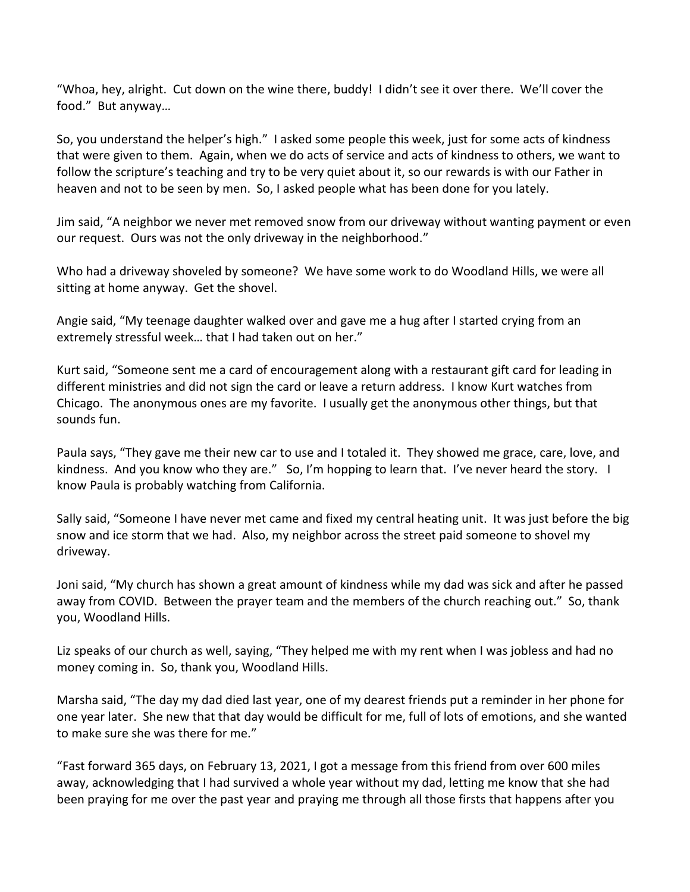"Whoa, hey, alright. Cut down on the wine there, buddy! I didn't see it over there. We'll cover the food." But anyway…

So, you understand the helper's high." I asked some people this week, just for some acts of kindness that were given to them. Again, when we do acts of service and acts of kindness to others, we want to follow the scripture's teaching and try to be very quiet about it, so our rewards is with our Father in heaven and not to be seen by men. So, I asked people what has been done for you lately.

Jim said, "A neighbor we never met removed snow from our driveway without wanting payment or even our request. Ours was not the only driveway in the neighborhood."

Who had a driveway shoveled by someone? We have some work to do Woodland Hills, we were all sitting at home anyway. Get the shovel.

Angie said, "My teenage daughter walked over and gave me a hug after I started crying from an extremely stressful week… that I had taken out on her."

Kurt said, "Someone sent me a card of encouragement along with a restaurant gift card for leading in different ministries and did not sign the card or leave a return address. I know Kurt watches from Chicago. The anonymous ones are my favorite. I usually get the anonymous other things, but that sounds fun.

Paula says, "They gave me their new car to use and I totaled it. They showed me grace, care, love, and kindness. And you know who they are." So, I'm hopping to learn that. I've never heard the story. I know Paula is probably watching from California.

Sally said, "Someone I have never met came and fixed my central heating unit. It was just before the big snow and ice storm that we had. Also, my neighbor across the street paid someone to shovel my driveway.

Joni said, "My church has shown a great amount of kindness while my dad was sick and after he passed away from COVID. Between the prayer team and the members of the church reaching out." So, thank you, Woodland Hills.

Liz speaks of our church as well, saying, "They helped me with my rent when I was jobless and had no money coming in. So, thank you, Woodland Hills.

Marsha said, "The day my dad died last year, one of my dearest friends put a reminder in her phone for one year later. She new that that day would be difficult for me, full of lots of emotions, and she wanted to make sure she was there for me."

"Fast forward 365 days, on February 13, 2021, I got a message from this friend from over 600 miles away, acknowledging that I had survived a whole year without my dad, letting me know that she had been praying for me over the past year and praying me through all those firsts that happens after you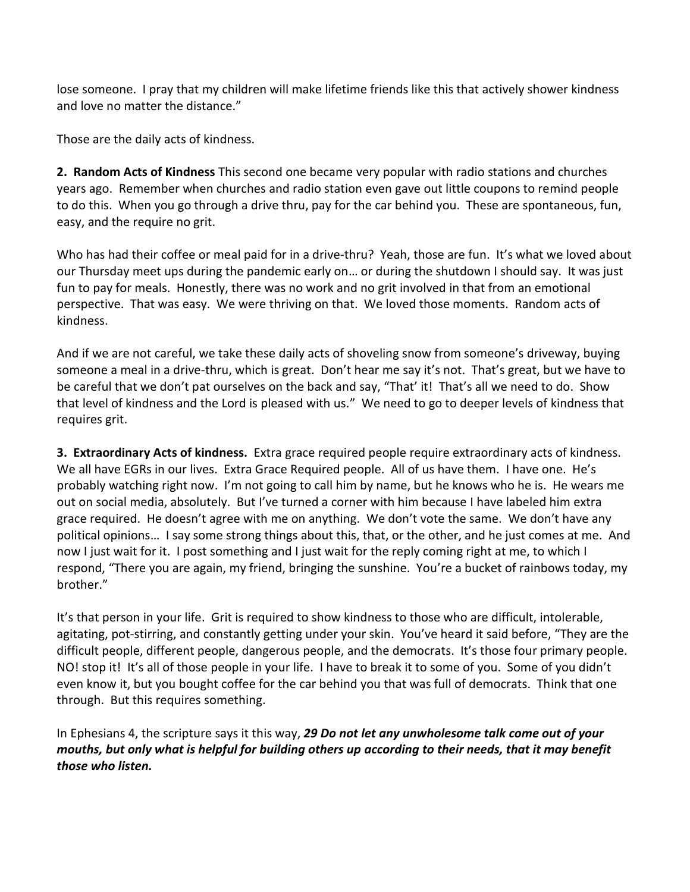lose someone. I pray that my children will make lifetime friends like this that actively shower kindness and love no matter the distance."

Those are the daily acts of kindness.

**2. Random Acts of Kindness** This second one became very popular with radio stations and churches years ago. Remember when churches and radio station even gave out little coupons to remind people to do this. When you go through a drive thru, pay for the car behind you. These are spontaneous, fun, easy, and the require no grit.

Who has had their coffee or meal paid for in a drive-thru? Yeah, those are fun. It's what we loved about our Thursday meet ups during the pandemic early on… or during the shutdown I should say. It was just fun to pay for meals. Honestly, there was no work and no grit involved in that from an emotional perspective. That was easy. We were thriving on that. We loved those moments. Random acts of kindness.

And if we are not careful, we take these daily acts of shoveling snow from someone's driveway, buying someone a meal in a drive-thru, which is great. Don't hear me say it's not. That's great, but we have to be careful that we don't pat ourselves on the back and say, "That' it! That's all we need to do. Show that level of kindness and the Lord is pleased with us." We need to go to deeper levels of kindness that requires grit.

**3. Extraordinary Acts of kindness.** Extra grace required people require extraordinary acts of kindness. We all have EGRs in our lives. Extra Grace Required people. All of us have them. I have one. He's probably watching right now. I'm not going to call him by name, but he knows who he is. He wears me out on social media, absolutely. But I've turned a corner with him because I have labeled him extra grace required. He doesn't agree with me on anything. We don't vote the same. We don't have any political opinions… I say some strong things about this, that, or the other, and he just comes at me. And now I just wait for it. I post something and I just wait for the reply coming right at me, to which I respond, "There you are again, my friend, bringing the sunshine. You're a bucket of rainbows today, my brother."

It's that person in your life. Grit is required to show kindness to those who are difficult, intolerable, agitating, pot-stirring, and constantly getting under your skin. You've heard it said before, "They are the difficult people, different people, dangerous people, and the democrats. It's those four primary people. NO! stop it! It's all of those people in your life. I have to break it to some of you. Some of you didn't even know it, but you bought coffee for the car behind you that was full of democrats. Think that one through. But this requires something.

In Ephesians 4, the scripture says it this way, *29 Do not let any unwholesome talk come out of your mouths, but only what is helpful for building others up according to their needs, that it may benefit those who listen.*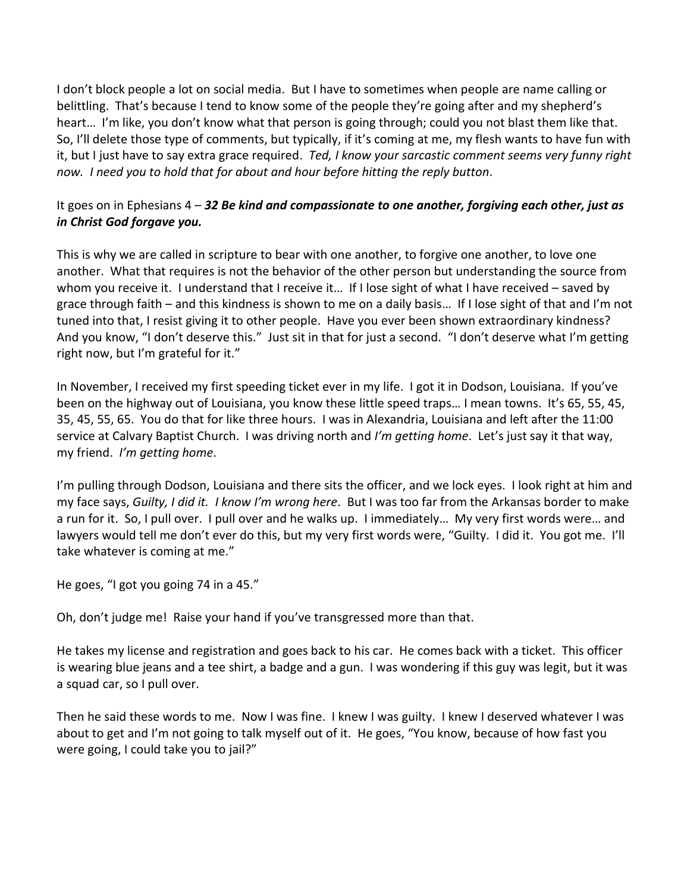I don't block people a lot on social media. But I have to sometimes when people are name calling or belittling. That's because I tend to know some of the people they're going after and my shepherd's heart… I'm like, you don't know what that person is going through; could you not blast them like that. So, I'll delete those type of comments, but typically, if it's coming at me, my flesh wants to have fun with it, but I just have to say extra grace required. *Ted, I know your sarcastic comment seems very funny right now. I need you to hold that for about and hour before hitting the reply button*.

## It goes on in Ephesians 4 – *32 Be kind and compassionate to one another, forgiving each other, just as in Christ God forgave you.*

This is why we are called in scripture to bear with one another, to forgive one another, to love one another. What that requires is not the behavior of the other person but understanding the source from whom you receive it. I understand that I receive it... If I lose sight of what I have received – saved by grace through faith – and this kindness is shown to me on a daily basis… If I lose sight of that and I'm not tuned into that, I resist giving it to other people. Have you ever been shown extraordinary kindness? And you know, "I don't deserve this." Just sit in that for just a second. "I don't deserve what I'm getting right now, but I'm grateful for it."

In November, I received my first speeding ticket ever in my life. I got it in Dodson, Louisiana. If you've been on the highway out of Louisiana, you know these little speed traps… I mean towns. It's 65, 55, 45, 35, 45, 55, 65. You do that for like three hours. I was in Alexandria, Louisiana and left after the 11:00 service at Calvary Baptist Church. I was driving north and *I'm getting home*. Let's just say it that way, my friend. *I'm getting home*.

I'm pulling through Dodson, Louisiana and there sits the officer, and we lock eyes. I look right at him and my face says, *Guilty, I did it. I know I'm wrong here*. But I was too far from the Arkansas border to make a run for it. So, I pull over. I pull over and he walks up. I immediately… My very first words were… and lawyers would tell me don't ever do this, but my very first words were, "Guilty. I did it. You got me. I'll take whatever is coming at me."

He goes, "I got you going 74 in a 45."

Oh, don't judge me! Raise your hand if you've transgressed more than that.

He takes my license and registration and goes back to his car. He comes back with a ticket. This officer is wearing blue jeans and a tee shirt, a badge and a gun. I was wondering if this guy was legit, but it was a squad car, so I pull over.

Then he said these words to me. Now I was fine. I knew I was guilty. I knew I deserved whatever I was about to get and I'm not going to talk myself out of it. He goes, "You know, because of how fast you were going, I could take you to jail?"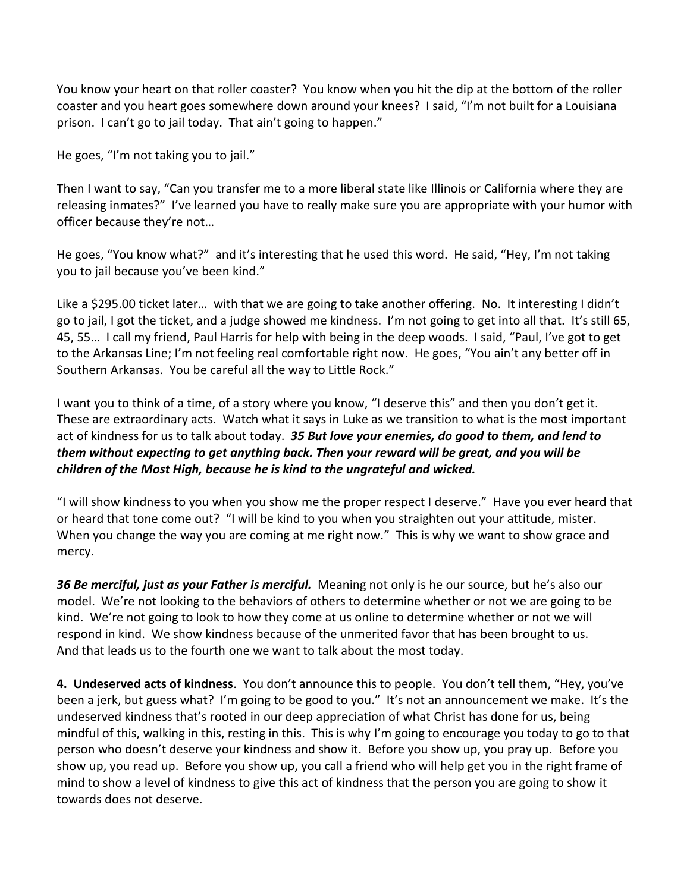You know your heart on that roller coaster? You know when you hit the dip at the bottom of the roller coaster and you heart goes somewhere down around your knees? I said, "I'm not built for a Louisiana prison. I can't go to jail today. That ain't going to happen."

He goes, "I'm not taking you to jail."

Then I want to say, "Can you transfer me to a more liberal state like Illinois or California where they are releasing inmates?" I've learned you have to really make sure you are appropriate with your humor with officer because they're not…

He goes, "You know what?" and it's interesting that he used this word. He said, "Hey, I'm not taking you to jail because you've been kind."

Like a \$295.00 ticket later... with that we are going to take another offering. No. It interesting I didn't go to jail, I got the ticket, and a judge showed me kindness. I'm not going to get into all that. It's still 65, 45, 55… I call my friend, Paul Harris for help with being in the deep woods. I said, "Paul, I've got to get to the Arkansas Line; I'm not feeling real comfortable right now. He goes, "You ain't any better off in Southern Arkansas. You be careful all the way to Little Rock."

I want you to think of a time, of a story where you know, "I deserve this" and then you don't get it. These are extraordinary acts. Watch what it says in Luke as we transition to what is the most important act of kindness for us to talk about today. *35 But love your enemies, do good to them, and lend to them without expecting to get anything back. Then your reward will be great, and you will be children of the Most High, because he is kind to the ungrateful and wicked.*

"I will show kindness to you when you show me the proper respect I deserve." Have you ever heard that or heard that tone come out? "I will be kind to you when you straighten out your attitude, mister. When you change the way you are coming at me right now." This is why we want to show grace and mercy.

*36 Be merciful, just as your Father is merciful.* Meaning not only is he our source, but he's also our model. We're not looking to the behaviors of others to determine whether or not we are going to be kind. We're not going to look to how they come at us online to determine whether or not we will respond in kind. We show kindness because of the unmerited favor that has been brought to us. And that leads us to the fourth one we want to talk about the most today.

**4. Undeserved acts of kindness**. You don't announce this to people. You don't tell them, "Hey, you've been a jerk, but guess what? I'm going to be good to you." It's not an announcement we make. It's the undeserved kindness that's rooted in our deep appreciation of what Christ has done for us, being mindful of this, walking in this, resting in this. This is why I'm going to encourage you today to go to that person who doesn't deserve your kindness and show it. Before you show up, you pray up. Before you show up, you read up. Before you show up, you call a friend who will help get you in the right frame of mind to show a level of kindness to give this act of kindness that the person you are going to show it towards does not deserve.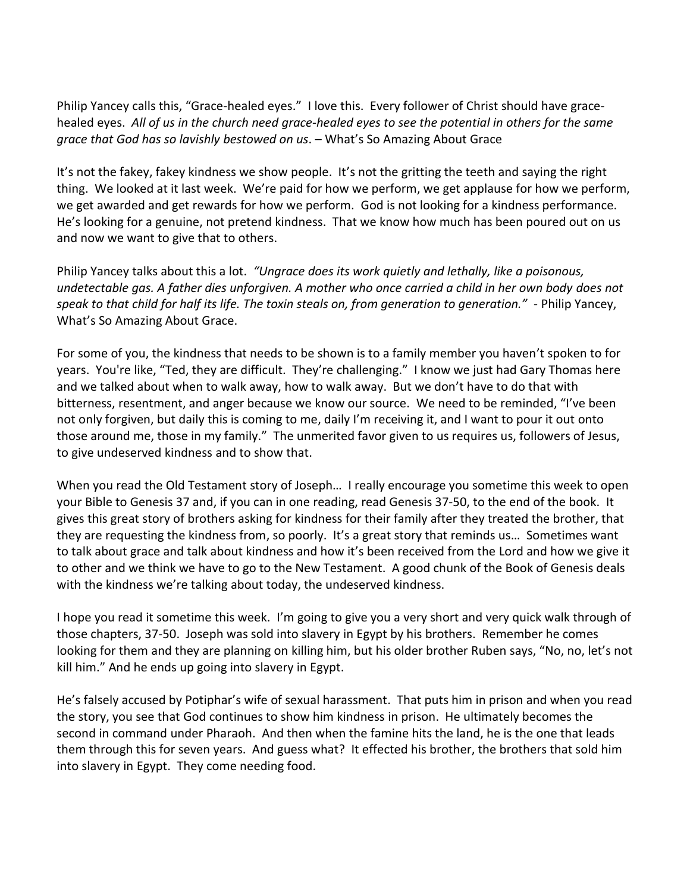Philip Yancey calls this, "Grace-healed eyes." I love this. Every follower of Christ should have gracehealed eyes. *All of us in the church need grace-healed eyes to see the potential in others for the same grace that God has so lavishly bestowed on us*. – What's So Amazing About Grace

It's not the fakey, fakey kindness we show people. It's not the gritting the teeth and saying the right thing. We looked at it last week. We're paid for how we perform, we get applause for how we perform, we get awarded and get rewards for how we perform. God is not looking for a kindness performance. He's looking for a genuine, not pretend kindness. That we know how much has been poured out on us and now we want to give that to others.

Philip Yancey talks about this a lot. *"Ungrace does its work quietly and lethally, like a poisonous, undetectable gas. A father dies unforgiven. A mother who once carried a child in her own body does not speak to that child for half its life. The toxin steals on, from generation to generation."* - Philip Yancey, What's So Amazing About Grace.

For some of you, the kindness that needs to be shown is to a family member you haven't spoken to for years. You're like, "Ted, they are difficult. They're challenging." I know we just had Gary Thomas here and we talked about when to walk away, how to walk away. But we don't have to do that with bitterness, resentment, and anger because we know our source. We need to be reminded, "I've been not only forgiven, but daily this is coming to me, daily I'm receiving it, and I want to pour it out onto those around me, those in my family." The unmerited favor given to us requires us, followers of Jesus, to give undeserved kindness and to show that.

When you read the Old Testament story of Joseph… I really encourage you sometime this week to open your Bible to Genesis 37 and, if you can in one reading, read Genesis 37-50, to the end of the book. It gives this great story of brothers asking for kindness for their family after they treated the brother, that they are requesting the kindness from, so poorly. It's a great story that reminds us… Sometimes want to talk about grace and talk about kindness and how it's been received from the Lord and how we give it to other and we think we have to go to the New Testament. A good chunk of the Book of Genesis deals with the kindness we're talking about today, the undeserved kindness.

I hope you read it sometime this week. I'm going to give you a very short and very quick walk through of those chapters, 37-50. Joseph was sold into slavery in Egypt by his brothers. Remember he comes looking for them and they are planning on killing him, but his older brother Ruben says, "No, no, let's not kill him." And he ends up going into slavery in Egypt.

He's falsely accused by Potiphar's wife of sexual harassment. That puts him in prison and when you read the story, you see that God continues to show him kindness in prison. He ultimately becomes the second in command under Pharaoh. And then when the famine hits the land, he is the one that leads them through this for seven years. And guess what? It effected his brother, the brothers that sold him into slavery in Egypt. They come needing food.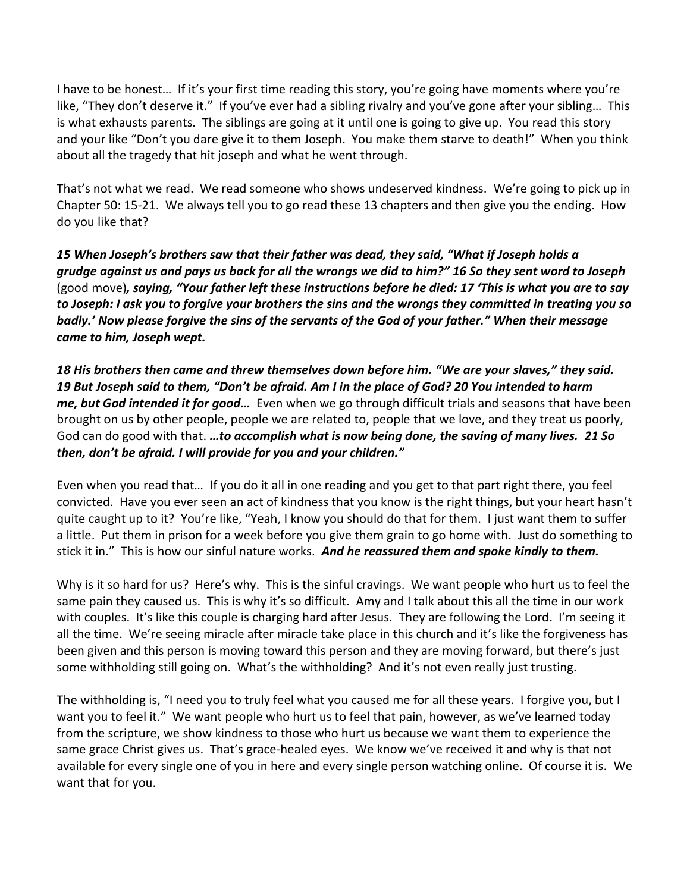I have to be honest… If it's your first time reading this story, you're going have moments where you're like, "They don't deserve it." If you've ever had a sibling rivalry and you've gone after your sibling… This is what exhausts parents. The siblings are going at it until one is going to give up. You read this story and your like "Don't you dare give it to them Joseph. You make them starve to death!" When you think about all the tragedy that hit joseph and what he went through.

That's not what we read. We read someone who shows undeserved kindness. We're going to pick up in Chapter 50: 15-21. We always tell you to go read these 13 chapters and then give you the ending. How do you like that?

*15 When Joseph's brothers saw that their father was dead, they said, "What if Joseph holds a grudge against us and pays us back for all the wrongs we did to him?" 16 So they sent word to Joseph* (good move)*, saying, "Your father left these instructions before he died: 17 'This is what you are to say to Joseph: I ask you to forgive your brothers the sins and the wrongs they committed in treating you so badly.' Now please forgive the sins of the servants of the God of your father." When their message came to him, Joseph wept.*

*18 His brothers then came and threw themselves down before him. "We are your slaves," they said. 19 But Joseph said to them, "Don't be afraid. Am I in the place of God? 20 You intended to harm me, but God intended it for good…* Even when we go through difficult trials and seasons that have been brought on us by other people, people we are related to, people that we love, and they treat us poorly, God can do good with that. *…to accomplish what is now being done, the saving of many lives. 21 So then, don't be afraid. I will provide for you and your children."* 

Even when you read that… If you do it all in one reading and you get to that part right there, you feel convicted. Have you ever seen an act of kindness that you know is the right things, but your heart hasn't quite caught up to it? You're like, "Yeah, I know you should do that for them. I just want them to suffer a little. Put them in prison for a week before you give them grain to go home with. Just do something to stick it in." This is how our sinful nature works. *And he reassured them and spoke kindly to them.*

Why is it so hard for us? Here's why. This is the sinful cravings. We want people who hurt us to feel the same pain they caused us. This is why it's so difficult. Amy and I talk about this all the time in our work with couples. It's like this couple is charging hard after Jesus. They are following the Lord. I'm seeing it all the time. We're seeing miracle after miracle take place in this church and it's like the forgiveness has been given and this person is moving toward this person and they are moving forward, but there's just some withholding still going on. What's the withholding? And it's not even really just trusting.

The withholding is, "I need you to truly feel what you caused me for all these years. I forgive you, but I want you to feel it." We want people who hurt us to feel that pain, however, as we've learned today from the scripture, we show kindness to those who hurt us because we want them to experience the same grace Christ gives us. That's grace-healed eyes. We know we've received it and why is that not available for every single one of you in here and every single person watching online. Of course it is. We want that for you.